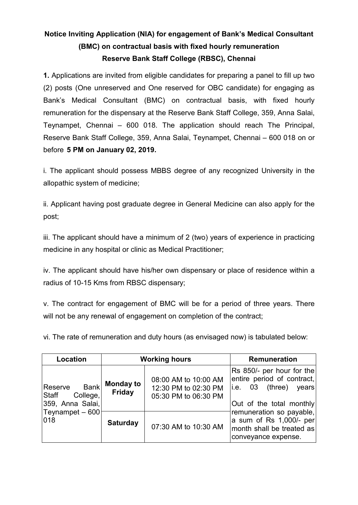# **Notice Inviting Application (NIA) for engagement of Bank's Medical Consultant (BMC) on contractual basis with fixed hourly remuneration Reserve Bank Staff College (RBSC), Chennai**

**1.** Applications are invited from eligible candidates for preparing a panel to fill up two (2) posts (One unreserved and One reserved for OBC candidate) for engaging as Bank's Medical Consultant (BMC) on contractual basis, with fixed hourly remuneration for the dispensary at the Reserve Bank Staff College, 359, Anna Salai, Teynampet, Chennai – 600 018. The application should reach The Principal, Reserve Bank Staff College, 359, Anna Salai, Teynampet, Chennai – 600 018 on or before **5 PM on January 02, 2019.**

i. The applicant should possess MBBS degree of any recognized University in the allopathic system of medicine;

ii. Applicant having post graduate degree in General Medicine can also apply for the post;

iii. The applicant should have a minimum of 2 (two) years of experience in practicing medicine in any hospital or clinic as Medical Practitioner;

iv. The applicant should have his/her own dispensary or place of residence within a radius of 10-15 Kms from RBSC dispensary;

v. The contract for engagement of BMC will be for a period of three years. There will not be any renewal of engagement on completion of the contract;

vi. The rate of remuneration and duty hours (as envisaged now) is tabulated below:

| Location                                                     |                                   | <b>Working hours</b>                                                 | <b>Remuneration</b>                                                                                                 |  |  |
|--------------------------------------------------------------|-----------------------------------|----------------------------------------------------------------------|---------------------------------------------------------------------------------------------------------------------|--|--|
| <b>Bank</b><br>Reserve<br>Staff College,<br>359, Anna Salai, | <b>Monday to</b><br><b>Friday</b> | 08:00 AM to 10:00 AM<br>12:30 PM to 02:30 PM<br>05:30 PM to 06:30 PM | Rs 850/- per hour for the<br>entire period of contract,<br>(three)<br>li.e. 03<br>vears<br>Out of the total monthly |  |  |
| Teynampet - 600<br>018                                       | <b>Saturday</b>                   | 07:30 AM to 10:30 AM                                                 | remuneration so payable,<br>a sum of Rs 1,000/- per<br>month shall be treated as<br>conveyance expense.             |  |  |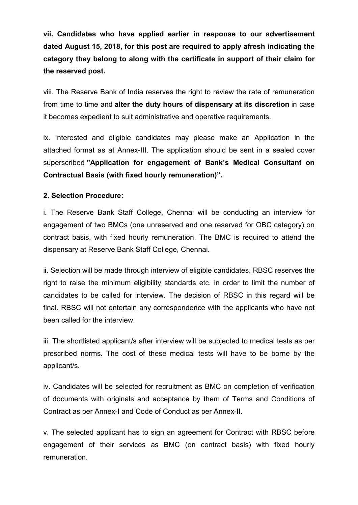**vii. Candidates who have applied earlier in response to our advertisement dated August 15, 2018, for this post are required to apply afresh indicating the category they belong to along with the certificate in support of their claim for the reserved post.**

viii. The Reserve Bank of India reserves the right to review the rate of remuneration from time to time and **alter the duty hours of dispensary at its discretion** in case it becomes expedient to suit administrative and operative requirements.

ix. Interested and eligible candidates may please make an Application in the attached format as at Annex-III. The application should be sent in a sealed cover superscribed **"Application for engagement of Bank's Medical Consultant on Contractual Basis (with fixed hourly remuneration)".**

## **2. Selection Procedure:**

i. The Reserve Bank Staff College, Chennai will be conducting an interview for engagement of two BMCs (one unreserved and one reserved for OBC category) on contract basis, with fixed hourly remuneration. The BMC is required to attend the dispensary at Reserve Bank Staff College, Chennai.

ii. Selection will be made through interview of eligible candidates. RBSC reserves the right to raise the minimum eligibility standards etc. in order to limit the number of candidates to be called for interview. The decision of RBSC in this regard will be final. RBSC will not entertain any correspondence with the applicants who have not been called for the interview.

iii. The shortlisted applicant/s after interview will be subjected to medical tests as per prescribed norms. The cost of these medical tests will have to be borne by the applicant/s.

iv. Candidates will be selected for recruitment as BMC on completion of verification of documents with originals and acceptance by them of Terms and Conditions of Contract as per Annex-I and Code of Conduct as per Annex-II.

v. The selected applicant has to sign an agreement for Contract with RBSC before engagement of their services as BMC (on contract basis) with fixed hourly remuneration.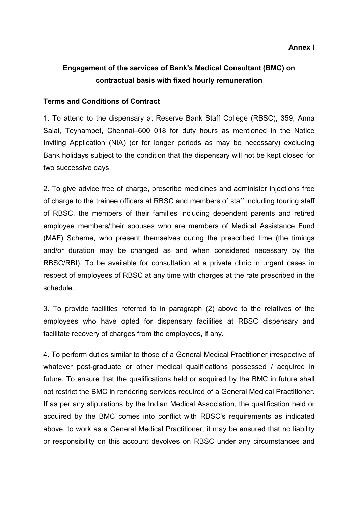## **Engagement of the services of Bank's Medical Consultant (BMC) on contractual basis with fixed hourly remuneration**

### **Terms and Conditions of Contract**

1. To attend to the dispensary at Reserve Bank Staff College (RBSC), 359, Anna Salai, Teynampet, Chennai–600 018 for duty hours as mentioned in the Notice Inviting Application (NIA) (or for longer periods as may be necessary) excluding Bank holidays subject to the condition that the dispensary will not be kept closed for two successive days.

2. To give advice free of charge, prescribe medicines and administer injections free of charge to the trainee officers at RBSC and members of staff including touring staff of RBSC, the members of their families including dependent parents and retired employee members/their spouses who are members of Medical Assistance Fund (MAF) Scheme, who present themselves during the prescribed time (the timings and/or duration may be changed as and when considered necessary by the RBSC/RBI). To be available for consultation at a private clinic in urgent cases in respect of employees of RBSC at any time with charges at the rate prescribed in the schedule.

3. To provide facilities referred to in paragraph (2) above to the relatives of the employees who have opted for dispensary facilities at RBSC dispensary and facilitate recovery of charges from the employees, if any.

4. To perform duties similar to those of a General Medical Practitioner irrespective of whatever post-graduate or other medical qualifications possessed / acquired in future. To ensure that the qualifications held or acquired by the BMC in future shall not restrict the BMC in rendering services required of a General Medical Practitioner. If as per any stipulations by the Indian Medical Association, the qualification held or acquired by the BMC comes into conflict with RBSC's requirements as indicated above, to work as a General Medical Practitioner, it may be ensured that no liability or responsibility on this account devolves on RBSC under any circumstances and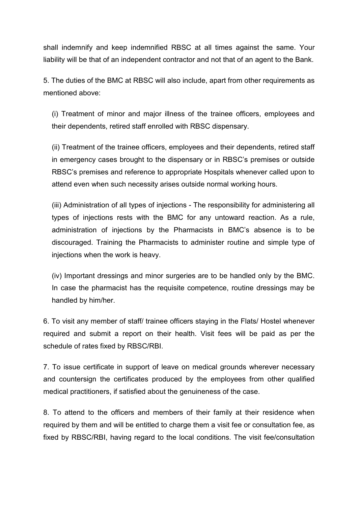shall indemnify and keep indemnified RBSC at all times against the same. Your liability will be that of an independent contractor and not that of an agent to the Bank.

5. The duties of the BMC at RBSC will also include, apart from other requirements as mentioned above:

(i) Treatment of minor and major illness of the trainee officers, employees and their dependents, retired staff enrolled with RBSC dispensary.

(ii) Treatment of the trainee officers, employees and their dependents, retired staff in emergency cases brought to the dispensary or in RBSC's premises or outside RBSC's premises and reference to appropriate Hospitals whenever called upon to attend even when such necessity arises outside normal working hours.

(iii) Administration of all types of injections - The responsibility for administering all types of injections rests with the BMC for any untoward reaction. As a rule, administration of injections by the Pharmacists in BMC's absence is to be discouraged. Training the Pharmacists to administer routine and simple type of injections when the work is heavy.

(iv) Important dressings and minor surgeries are to be handled only by the BMC. In case the pharmacist has the requisite competence, routine dressings may be handled by him/her.

6. To visit any member of staff/ trainee officers staying in the Flats/ Hostel whenever required and submit a report on their health. Visit fees will be paid as per the schedule of rates fixed by RBSC/RBI.

7. To issue certificate in support of leave on medical grounds wherever necessary and countersign the certificates produced by the employees from other qualified medical practitioners, if satisfied about the genuineness of the case.

8. To attend to the officers and members of their family at their residence when required by them and will be entitled to charge them a visit fee or consultation fee, as fixed by RBSC/RBI, having regard to the local conditions. The visit fee/consultation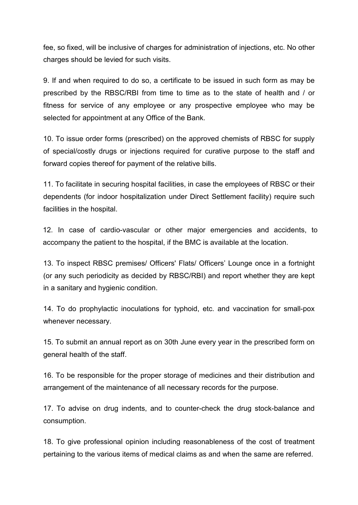fee, so fixed, will be inclusive of charges for administration of injections, etc. No other charges should be levied for such visits.

9. If and when required to do so, a certificate to be issued in such form as may be prescribed by the RBSC/RBI from time to time as to the state of health and / or fitness for service of any employee or any prospective employee who may be selected for appointment at any Office of the Bank.

10. To issue order forms (prescribed) on the approved chemists of RBSC for supply of special/costly drugs or injections required for curative purpose to the staff and forward copies thereof for payment of the relative bills.

11. To facilitate in securing hospital facilities, in case the employees of RBSC or their dependents (for indoor hospitalization under Direct Settlement facility) require such facilities in the hospital.

12. In case of cardio-vascular or other major emergencies and accidents, to accompany the patient to the hospital, if the BMC is available at the location.

13. To inspect RBSC premises/ Officers' Flats/ Officers' Lounge once in a fortnight (or any such periodicity as decided by RBSC/RBI) and report whether they are kept in a sanitary and hygienic condition.

14. To do prophylactic inoculations for typhoid, etc. and vaccination for small-pox whenever necessary.

15. To submit an annual report as on 30th June every year in the prescribed form on general health of the staff.

16. To be responsible for the proper storage of medicines and their distribution and arrangement of the maintenance of all necessary records for the purpose.

17. To advise on drug indents, and to counter-check the drug stock-balance and consumption.

18. To give professional opinion including reasonableness of the cost of treatment pertaining to the various items of medical claims as and when the same are referred.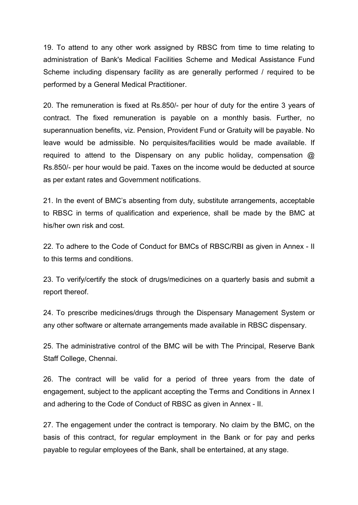19. To attend to any other work assigned by RBSC from time to time relating to administration of Bank's Medical Facilities Scheme and Medical Assistance Fund Scheme including dispensary facility as are generally performed / required to be performed by a General Medical Practitioner.

20. The remuneration is fixed at Rs.850/- per hour of duty for the entire 3 years of contract. The fixed remuneration is payable on a monthly basis. Further, no superannuation benefits, viz. Pension, Provident Fund or Gratuity will be payable. No leave would be admissible. No perquisites/facilities would be made available. If required to attend to the Dispensary on any public holiday, compensation  $\omega$ Rs.850/- per hour would be paid. Taxes on the income would be deducted at source as per extant rates and Government notifications.

21. In the event of BMC's absenting from duty, substitute arrangements, acceptable to RBSC in terms of qualification and experience, shall be made by the BMC at his/her own risk and cost.

22. To adhere to the Code of Conduct for BMCs of RBSC/RBI as given in Annex - II to this terms and conditions.

23. To verify/certify the stock of drugs/medicines on a quarterly basis and submit a report thereof.

24. To prescribe medicines/drugs through the Dispensary Management System or any other software or alternate arrangements made available in RBSC dispensary.

25. The administrative control of the BMC will be with The Principal, Reserve Bank Staff College, Chennai.

26. The contract will be valid for a period of three years from the date of engagement, subject to the applicant accepting the Terms and Conditions in Annex I and adhering to the Code of Conduct of RBSC as given in Annex - II.

27. The engagement under the contract is temporary. No claim by the BMC, on the basis of this contract, for regular employment in the Bank or for pay and perks payable to regular employees of the Bank, shall be entertained, at any stage.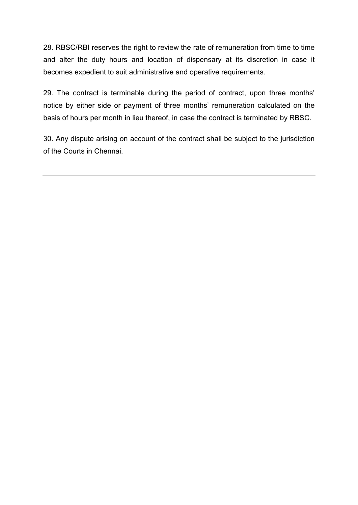28. RBSC/RBI reserves the right to review the rate of remuneration from time to time and alter the duty hours and location of dispensary at its discretion in case it becomes expedient to suit administrative and operative requirements.

29. The contract is terminable during the period of contract, upon three months' notice by either side or payment of three months' remuneration calculated on the basis of hours per month in lieu thereof, in case the contract is terminated by RBSC.

30. Any dispute arising on account of the contract shall be subject to the jurisdiction of the Courts in Chennai.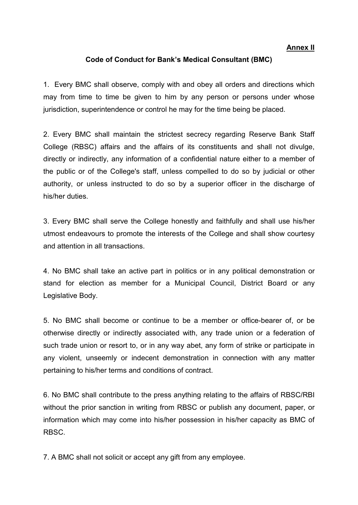#### **Annex II**

#### **Code of Conduct for Bank's Medical Consultant (BMC)**

1. Every BMC shall observe, comply with and obey all orders and directions which may from time to time be given to him by any person or persons under whose jurisdiction, superintendence or control he may for the time being be placed.

2. Every BMC shall maintain the strictest secrecy regarding Reserve Bank Staff College (RBSC) affairs and the affairs of its constituents and shall not divulge, directly or indirectly, any information of a confidential nature either to a member of the public or of the College's staff, unless compelled to do so by judicial or other authority, or unless instructed to do so by a superior officer in the discharge of his/her duties.

3. Every BMC shall serve the College honestly and faithfully and shall use his/her utmost endeavours to promote the interests of the College and shall show courtesy and attention in all transactions.

4. No BMC shall take an active part in politics or in any political demonstration or stand for election as member for a Municipal Council, District Board or any Legislative Body.

5. No BMC shall become or continue to be a member or office-bearer of, or be otherwise directly or indirectly associated with, any trade union or a federation of such trade union or resort to, or in any way abet, any form of strike or participate in any violent, unseemly or indecent demonstration in connection with any matter pertaining to his/her terms and conditions of contract.

6. No BMC shall contribute to the press anything relating to the affairs of RBSC/RBI without the prior sanction in writing from RBSC or publish any document, paper, or information which may come into his/her possession in his/her capacity as BMC of RBSC.

7. A BMC shall not solicit or accept any gift from any employee.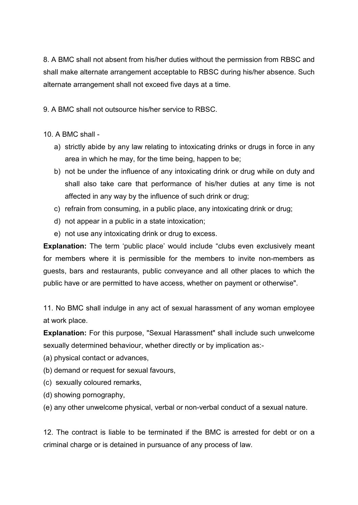8. A BMC shall not absent from his/her duties without the permission from RBSC and shall make alternate arrangement acceptable to RBSC during his/her absence. Such alternate arrangement shall not exceed five days at a time.

9. A BMC shall not outsource his/her service to RBSC.

10. A BMC shall -

- a) strictly abide by any law relating to intoxicating drinks or drugs in force in any area in which he may, for the time being, happen to be;
- b) not be under the influence of any intoxicating drink or drug while on duty and shall also take care that performance of his/her duties at any time is not affected in any way by the influence of such drink or drug;
- c) refrain from consuming, in a public place, any intoxicating drink or drug;
- d) not appear in a public in a state intoxication;
- e) not use any intoxicating drink or drug to excess.

**Explanation:** The term 'public place' would include "clubs even exclusively meant for members where it is permissible for the members to invite non-members as guests, bars and restaurants, public conveyance and all other places to which the public have or are permitted to have access, whether on payment or otherwise".

11. No BMC shall indulge in any act of sexual harassment of any woman employee at work place.

**Explanation:** For this purpose, "Sexual Harassment" shall include such unwelcome sexually determined behaviour, whether directly or by implication as:-

- (a) physical contact or advances,
- (b) demand or request for sexual favours,
- (c) sexually coloured remarks,
- (d) showing pornography,
- (e) any other unwelcome physical, verbal or non-verbal conduct of a sexual nature.

12. The contract is liable to be terminated if the BMC is arrested for debt or on a criminal charge or is detained in pursuance of any process of law.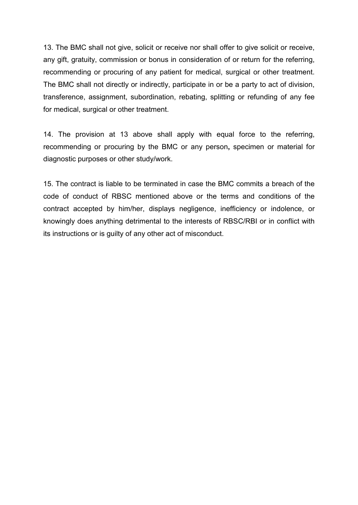13. The BMC shall not give, solicit or receive nor shall offer to give solicit or receive, any gift, gratuity, commission or bonus in consideration of or return for the referring, recommending or procuring of any patient for medical, surgical or other treatment. The BMC shall not directly or indirectly, participate in or be a party to act of division, transference, assignment, subordination, rebating, splitting or refunding of any fee for medical, surgical or other treatment.

14. The provision at 13 above shall apply with equal force to the referring, recommending or procuring by the BMC or any person**,** specimen or material for diagnostic purposes or other study/work.

15. The contract is liable to be terminated in case the BMC commits a breach of the code of conduct of RBSC mentioned above or the terms and conditions of the contract accepted by him/her, displays negligence, inefficiency or indolence, or knowingly does anything detrimental to the interests of RBSC/RBI or in conflict with its instructions or is guilty of any other act of misconduct.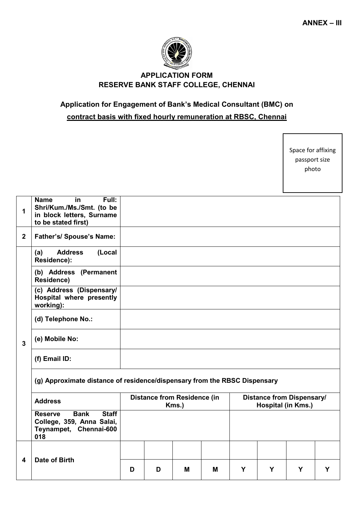

## **APPLICATION FORM RESERVE BANK STAFF COLLEGE, CHENNAI**

## **Application for Engagement of Bank's Medical Consultant (BMC) on contract basis with fixed hourly remuneration at RBSC, Chennai**

Space for affixing passport size photo

| 1              | <b>Name</b><br>in<br>Full:<br>Shri/Kum./Ms./Smt. (to be<br>in block letters, Surname<br>to be stated first) |                                             |   |   |                                                        |   |   |   |   |
|----------------|-------------------------------------------------------------------------------------------------------------|---------------------------------------------|---|---|--------------------------------------------------------|---|---|---|---|
| $\overline{2}$ | <b>Father's/ Spouse's Name:</b>                                                                             |                                             |   |   |                                                        |   |   |   |   |
|                | <b>Address</b><br>(Local<br>(a)<br>Residence):                                                              |                                             |   |   |                                                        |   |   |   |   |
| $\overline{3}$ | (b) Address (Permanent<br>Residence)                                                                        |                                             |   |   |                                                        |   |   |   |   |
|                | (c) Address (Dispensary/<br>Hospital where presently<br>working):                                           |                                             |   |   |                                                        |   |   |   |   |
|                | (d) Telephone No.:                                                                                          |                                             |   |   |                                                        |   |   |   |   |
|                | (e) Mobile No:                                                                                              |                                             |   |   |                                                        |   |   |   |   |
|                | (f) Email ID:                                                                                               |                                             |   |   |                                                        |   |   |   |   |
|                | (g) Approximate distance of residence/dispensary from the RBSC Dispensary                                   |                                             |   |   |                                                        |   |   |   |   |
|                | <b>Address</b>                                                                                              | <b>Distance from Residence (in</b><br>Kms.) |   |   | <b>Distance from Dispensary/</b><br>Hospital (in Kms.) |   |   |   |   |
|                | <b>Staff</b><br><b>Bank</b><br><b>Reserve</b><br>College, 359, Anna Salai,<br>Teynampet, Chennai-600<br>018 |                                             |   |   |                                                        |   |   |   |   |
| 4              | Date of Birth                                                                                               |                                             |   |   |                                                        |   |   |   |   |
|                |                                                                                                             | D                                           | D | м | M                                                      | Y | Y | Y | Y |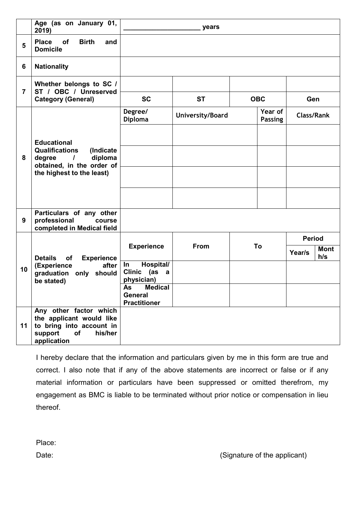|                 | Age (as on January 01,<br>2019)                                                                                                                     | years                                                         |                  |    |                           |                   |                    |
|-----------------|-----------------------------------------------------------------------------------------------------------------------------------------------------|---------------------------------------------------------------|------------------|----|---------------------------|-------------------|--------------------|
| 5               | <b>Place</b><br><b>Birth</b><br><b>of</b><br>and<br><b>Domicile</b>                                                                                 |                                                               |                  |    |                           |                   |                    |
| $6\phantom{1}6$ | <b>Nationality</b>                                                                                                                                  |                                                               |                  |    |                           |                   |                    |
| $\overline{7}$  | Whether belongs to SC /<br>ST / OBC / Unreserved                                                                                                    |                                                               |                  |    |                           |                   |                    |
|                 | <b>Category (General)</b>                                                                                                                           | <b>SC</b>                                                     | <b>ST</b>        |    | <b>OBC</b><br>Gen         |                   |                    |
| 8               | <b>Educational</b><br><b>Qualifications</b><br>(Indicate<br>diploma<br>degree<br>$\prime$<br>obtained, in the order of<br>the highest to the least) | Degree/<br><b>Diploma</b>                                     | University/Board |    | Year of<br><b>Passing</b> | <b>Class/Rank</b> |                    |
|                 |                                                                                                                                                     |                                                               |                  |    |                           |                   |                    |
|                 |                                                                                                                                                     |                                                               |                  |    |                           |                   |                    |
|                 |                                                                                                                                                     |                                                               |                  |    |                           |                   |                    |
|                 |                                                                                                                                                     |                                                               |                  |    |                           |                   |                    |
| 9               | Particulars of any other<br>professional<br>course<br>completed in Medical field                                                                    |                                                               |                  |    |                           |                   |                    |
|                 | <b>Details</b><br>of<br><b>Experience</b><br>(Experience<br>after<br>only should<br>graduation<br>be stated)                                        |                                                               |                  | To |                           | <b>Period</b>     |                    |
| 10              |                                                                                                                                                     | <b>Experience</b>                                             | From             |    |                           | Year/s            | <b>Mont</b><br>h/s |
|                 |                                                                                                                                                     | Hospital/<br>In<br>Clinic (as<br>$\overline{a}$<br>physician) |                  |    |                           |                   |                    |
|                 |                                                                                                                                                     | <b>Medical</b><br>As<br><b>General</b><br><b>Practitioner</b> |                  |    |                           |                   |                    |
| 11              | Any other factor which<br>the applicant would like<br>to bring into account in<br>support<br>of<br>his/her<br>application                           |                                                               |                  |    |                           |                   |                    |

I hereby declare that the information and particulars given by me in this form are true and correct. I also note that if any of the above statements are incorrect or false or if any material information or particulars have been suppressed or omitted therefrom, my engagement as BMC is liable to be terminated without prior notice or compensation in lieu thereof.

Place: